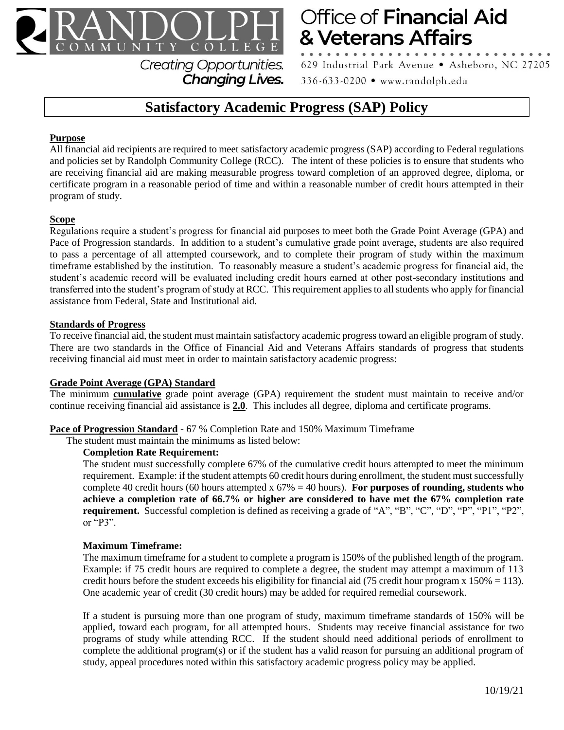

**Office of Financial Aid** & Veterans Affairs

629 Industrial Park Avenue . Asheboro, NC 27205 336-633-0200 • www.randolph.edu

# **Satisfactory Academic Progress (SAP) Policy**

**Changing Lives.** 

## **Purpose**

All financial aid recipients are required to meet satisfactory academic progress (SAP) according to Federal regulations and policies set by Randolph Community College (RCC). The intent of these policies is to ensure that students who are receiving financial aid are making measurable progress toward completion of an approved degree, diploma, or certificate program in a reasonable period of time and within a reasonable number of credit hours attempted in their program of study.

## **Scope**

Regulations require a student's progress for financial aid purposes to meet both the Grade Point Average (GPA) and Pace of Progression standards. In addition to a student's cumulative grade point average, students are also required to pass a percentage of all attempted coursework, and to complete their program of study within the maximum timeframe established by the institution. To reasonably measure a student's academic progress for financial aid, the student's academic record will be evaluated including credit hours earned at other post-secondary institutions and transferred into the student's program of study at RCC. This requirement applies to all students who apply for financial assistance from Federal, State and Institutional aid.

## **Standards of Progress**

To receive financial aid, the student must maintain satisfactory academic progress toward an eligible program of study. There are two standards in the Office of Financial Aid and Veterans Affairs standards of progress that students receiving financial aid must meet in order to maintain satisfactory academic progress:

## **Grade Point Average (GPA) Standard**

The minimum **cumulative** grade point average (GPA) requirement the student must maintain to receive and/or continue receiving financial aid assistance is **2.0**. This includes all degree, diploma and certificate programs.

## **Pace of Progression Standard -** 67 % Completion Rate and 150% Maximum Timeframe

The student must maintain the minimums as listed below:

#### **Completion Rate Requirement:**

The student must successfully complete 67% of the cumulative credit hours attempted to meet the minimum requirement. Example: if the student attempts 60 credit hours during enrollment, the student must successfully complete 40 credit hours (60 hours attempted x 67% = 40 hours). **For purposes of rounding, students who achieve a completion rate of 66.7% or higher are considered to have met the 67% completion rate requirement.** Successful completion is defined as receiving a grade of "A", "B", "C", "D", "P", "P1", "P2", or "P3".

## **Maximum Timeframe:**

The maximum timeframe for a student to complete a program is 150% of the published length of the program. Example: if 75 credit hours are required to complete a degree, the student may attempt a maximum of 113 credit hours before the student exceeds his eligibility for financial aid (75 credit hour program x  $150% = 113$ ). One academic year of credit (30 credit hours) may be added for required remedial coursework.

If a student is pursuing more than one program of study, maximum timeframe standards of 150% will be applied, toward each program, for all attempted hours. Students may receive financial assistance for two programs of study while attending RCC. If the student should need additional periods of enrollment to complete the additional program(s) or if the student has a valid reason for pursuing an additional program of study, appeal procedures noted within this satisfactory academic progress policy may be applied.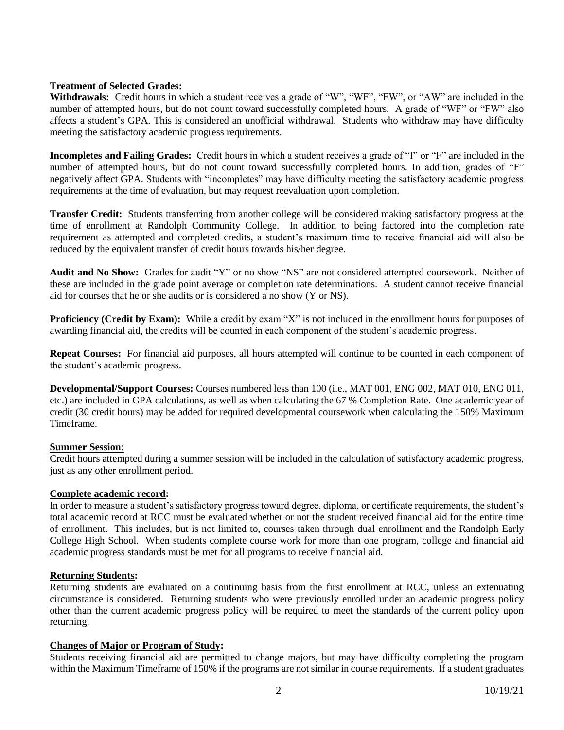## **Treatment of Selected Grades:**

**Withdrawals:** Credit hours in which a student receives a grade of "W", "WF", "FW", or "AW" are included in the number of attempted hours, but do not count toward successfully completed hours. A grade of "WF" or "FW" also affects a student's GPA. This is considered an unofficial withdrawal. Students who withdraw may have difficulty meeting the satisfactory academic progress requirements.

**Incompletes and Failing Grades:** Credit hours in which a student receives a grade of "I" or "F" are included in the number of attempted hours, but do not count toward successfully completed hours. In addition, grades of "F" negatively affect GPA. Students with "incompletes" may have difficulty meeting the satisfactory academic progress requirements at the time of evaluation, but may request reevaluation upon completion.

**Transfer Credit:** Students transferring from another college will be considered making satisfactory progress at the time of enrollment at Randolph Community College. In addition to being factored into the completion rate requirement as attempted and completed credits, a student's maximum time to receive financial aid will also be reduced by the equivalent transfer of credit hours towards his/her degree.

**Audit and No Show:** Grades for audit "Y" or no show "NS" are not considered attempted coursework. Neither of these are included in the grade point average or completion rate determinations. A student cannot receive financial aid for courses that he or she audits or is considered a no show (Y or NS).

**Proficiency (Credit by Exam):** While a credit by exam "X" is not included in the enrollment hours for purposes of awarding financial aid, the credits will be counted in each component of the student's academic progress.

**Repeat Courses:** For financial aid purposes, all hours attempted will continue to be counted in each component of the student's academic progress.

**Developmental/Support Courses:** Courses numbered less than 100 (i.e., MAT 001, ENG 002, MAT 010, ENG 011, etc.) are included in GPA calculations, as well as when calculating the 67 % Completion Rate. One academic year of credit (30 credit hours) may be added for required developmental coursework when calculating the 150% Maximum Timeframe.

## **Summer Session**:

Credit hours attempted during a summer session will be included in the calculation of satisfactory academic progress, just as any other enrollment period.

## **Complete academic record:**

In order to measure a student's satisfactory progress toward degree, diploma, or certificate requirements, the student's total academic record at RCC must be evaluated whether or not the student received financial aid for the entire time of enrollment. This includes, but is not limited to, courses taken through dual enrollment and the Randolph Early College High School. When students complete course work for more than one program, college and financial aid academic progress standards must be met for all programs to receive financial aid.

## **Returning Students:**

Returning students are evaluated on a continuing basis from the first enrollment at RCC, unless an extenuating circumstance is considered. Returning students who were previously enrolled under an academic progress policy other than the current academic progress policy will be required to meet the standards of the current policy upon returning.

## **Changes of Major or Program of Study:**

Students receiving financial aid are permitted to change majors, but may have difficulty completing the program within the Maximum Timeframe of 150% if the programs are not similar in course requirements. If a student graduates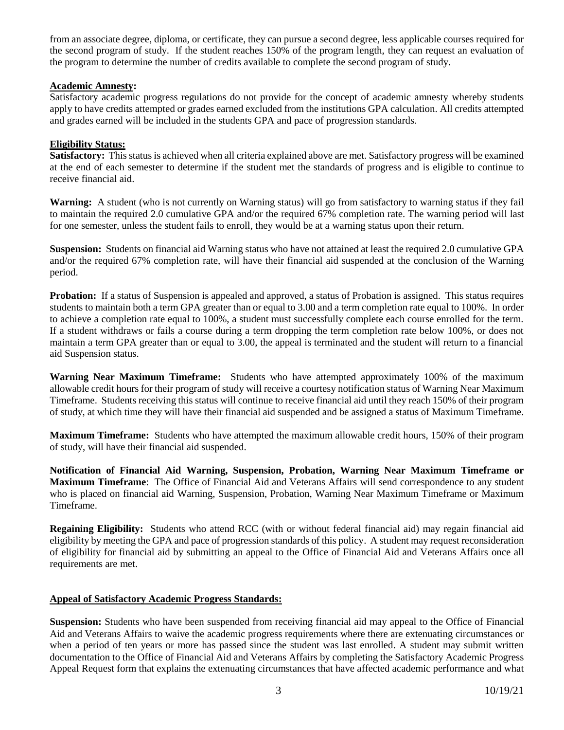from an associate degree, diploma, or certificate, they can pursue a second degree, less applicable courses required for the second program of study. If the student reaches 150% of the program length, they can request an evaluation of the program to determine the number of credits available to complete the second program of study.

## **Academic Amnesty:**

Satisfactory academic progress regulations do not provide for the concept of academic amnesty whereby students apply to have credits attempted or grades earned excluded from the institutions GPA calculation. All credits attempted and grades earned will be included in the students GPA and pace of progression standards.

#### **Eligibility Status:**

**Satisfactory:** This status is achieved when all criteria explained above are met. Satisfactory progress will be examined at the end of each semester to determine if the student met the standards of progress and is eligible to continue to receive financial aid.

**Warning:** A student (who is not currently on Warning status) will go from satisfactory to warning status if they fail to maintain the required 2.0 cumulative GPA and/or the required 67% completion rate. The warning period will last for one semester, unless the student fails to enroll, they would be at a warning status upon their return.

**Suspension:** Students on financial aid Warning status who have not attained at least the required 2.0 cumulative GPA and/or the required 67% completion rate, will have their financial aid suspended at the conclusion of the Warning period.

**Probation:** If a status of Suspension is appealed and approved, a status of Probation is assigned. This status requires students to maintain both a term GPA greater than or equal to 3.00 and a term completion rate equal to 100%. In order to achieve a completion rate equal to 100%, a student must successfully complete each course enrolled for the term. If a student withdraws or fails a course during a term dropping the term completion rate below 100%, or does not maintain a term GPA greater than or equal to 3.00, the appeal is terminated and the student will return to a financial aid Suspension status.

**Warning Near Maximum Timeframe:** Students who have attempted approximately 100% of the maximum allowable credit hours for their program of study will receive a courtesy notification status of Warning Near Maximum Timeframe. Students receiving this status will continue to receive financial aid until they reach 150% of their program of study, at which time they will have their financial aid suspended and be assigned a status of Maximum Timeframe.

**Maximum Timeframe:** Students who have attempted the maximum allowable credit hours, 150% of their program of study, will have their financial aid suspended.

**Notification of Financial Aid Warning, Suspension, Probation, Warning Near Maximum Timeframe or Maximum Timeframe**:The Office of Financial Aid and Veterans Affairs will send correspondence to any student who is placed on financial aid Warning, Suspension, Probation, Warning Near Maximum Timeframe or Maximum Timeframe.

**Regaining Eligibility:** Students who attend RCC (with or without federal financial aid) may regain financial aid eligibility by meeting the GPA and pace of progression standards of this policy. A student may request reconsideration of eligibility for financial aid by submitting an appeal to the Office of Financial Aid and Veterans Affairs once all requirements are met.

## **Appeal of Satisfactory Academic Progress Standards:**

**Suspension:** Students who have been suspended from receiving financial aid may appeal to the Office of Financial Aid and Veterans Affairs to waive the academic progress requirements where there are extenuating circumstances or when a period of ten years or more has passed since the student was last enrolled. A student may submit written documentation to the Office of Financial Aid and Veterans Affairs by completing the Satisfactory Academic Progress Appeal Request form that explains the extenuating circumstances that have affected academic performance and what